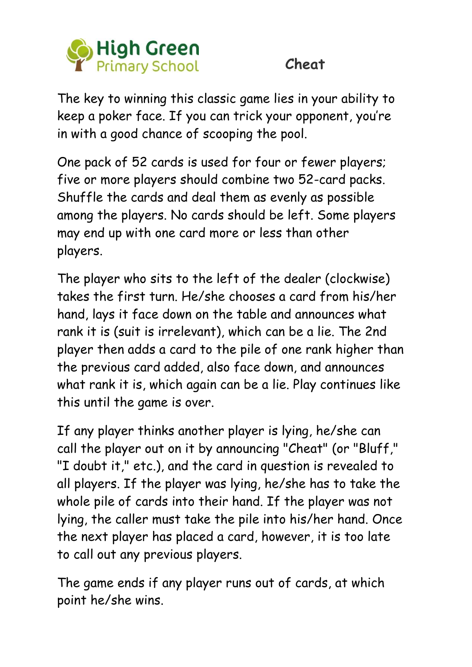



The key to winning this classic game lies in your ability to keep a poker face. If you can trick your opponent, you're in with a good chance of scooping the pool.

One pack of 52 cards is used for four or fewer players; five or more players should combine two 52-card packs. Shuffle the cards and deal them as evenly as possible among the players. No cards should be left. Some players may end up with one card more or less than other players.

The player who sits to the left of the dealer (clockwise) takes the first turn. He/she chooses a card from his/her hand, lays it face down on the table and announces what rank it is (suit is irrelevant), which can be a lie. The 2nd player then adds a card to the pile of one rank higher than the previous card added, also face down, and announces what rank it is, which again can be a lie. Play continues like this until the game is over.

If any player thinks another player is lying, he/she can call the player out on it by announcing "Cheat" (or "Bluff," "I doubt it," etc.), and the card in question is revealed to all players. If the player was lying, he/she has to take the whole pile of cards into their hand. If the player was not lying, the caller must take the pile into his/her hand. Once the next player has placed a card, however, it is too late to call out any previous players.

The game ends if any player runs out of cards, at which point he/she wins.